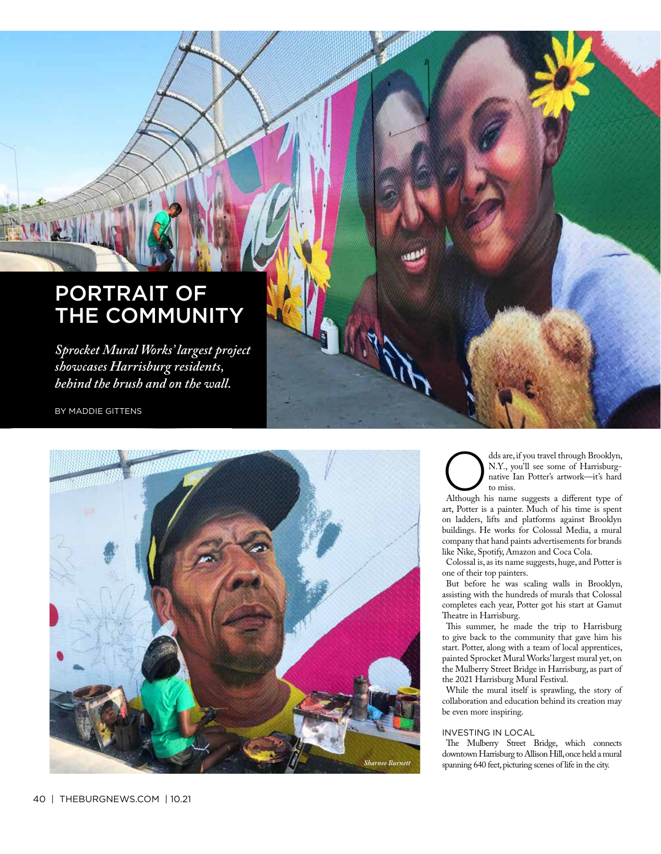## PORTRAIT OF THE COMMUNITY

*Sprocket Mural Works' largest project showcases Harrisburg residents, behind the brush and on the wall.*

BY MADDIE GITTENS



dds are, if you travel through Brooklyn, N.Y., you'll see some of Harrisburgnative Ian Potter's artwork—it's hard to miss.

Although his name suggests a diferent type of art, Potter is a painter. Much of his time is spent on ladders, lifts and platforms against Brooklyn buildings. He works for Colossal Media, a mural company that hand paints advertisements for brands like Nike, Spotify, Amazon and Coca Cola.

Colossal is, as its name suggests, huge, and Potter is one of their top painters.

But before he was scaling walls in Brooklyn, assisting with the hundreds of murals that Colossal completes each year, Potter got his start at Gamut Theatre in Harrisburg.

This summer, he made the trip to Harrisburg to give back to the community that gave him his start. Potter, along with a team of local apprentices, painted Sprocket Mural Works' largest mural yet, on the Mulberry Street Bridge in Harrisburg, as part of the 2021 Harrisburg Mural Festival.

While the mural itself is sprawling, the story of collaboration and education behind its creation may be even more inspiring.

#### INVESTING IN LOCAL

The Mulberry Street Bridge, which connects downtown Harrisburg to Allison Hill, once held a mural spanning 640 feet, picturing scenes of life in the city.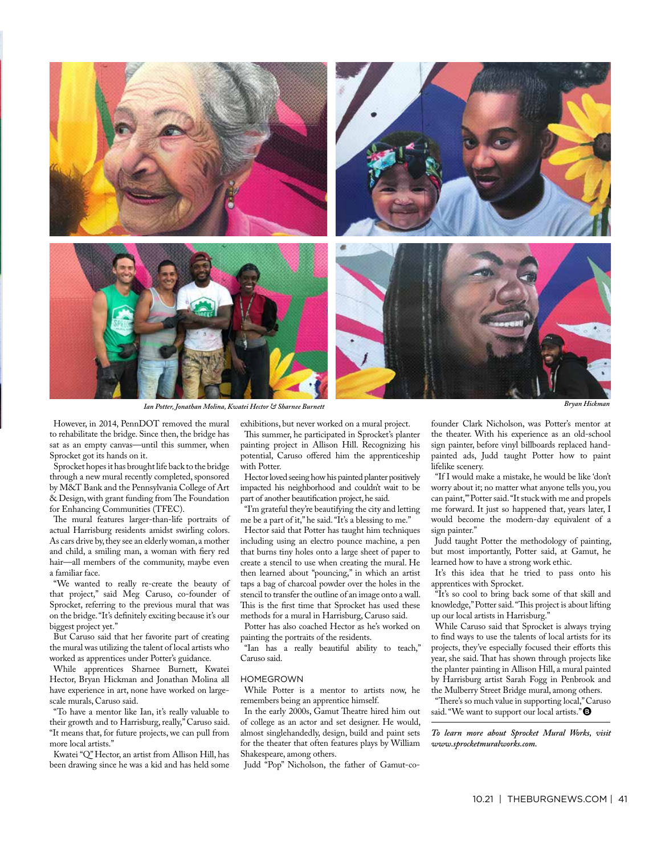

However, in 2014, PennDOT removed the mural to rehabilitate the bridge. Since then, the bridge has sat as an empty canvas—until this summer, when Sprocket got its hands on it.

Sprocket hopes it has brought life back to the bridge through a new mural recently completed, sponsored by M&T Bank and the Pennsylvania College of Art & Design, with grant funding from The Foundation for Enhancing Communities (TFEC).

The mural features larger-than-life portraits of actual Harrisburg residents amidst swirling colors. As cars drive by, they see an elderly woman, a mother and child, a smiling man, a woman with fery red hair—all members of the community, maybe even a familiar face.

"We wanted to really re-create the beauty of that project," said Meg Caruso, co-founder of Sprocket, referring to the previous mural that was on the bridge. "It's defnitely exciting because it's our biggest project yet."

But Caruso said that her favorite part of creating the mural was utilizing the talent of local artists who worked as apprentices under Potter's guidance.

While apprentices Sharnee Burnett, Kwatei Hector, Bryan Hickman and Jonathan Molina all have experience in art, none have worked on largescale murals, Caruso said.

"To have a mentor like Ian, it's really valuable to their growth and to Harrisburg, really," Caruso said. "It means that, for future projects, we can pull from more local artists."

Kwatei "Q" Hector, an artist from Allison Hill, has been drawing since he was a kid and has held some exhibitions, but never worked on a mural project. This summer, he participated in Sprocket's planter

painting project in Allison Hill. Recognizing his potential, Caruso offered him the apprenticeship with Potter.

Hector loved seeing how his painted planter positively impacted his neighborhood and couldn't wait to be part of another beautifcation project, he said.

"I'm grateful they're beautifying the city and letting me be a part of it," he said. "It's a blessing to me."

Hector said that Potter has taught him techniques including using an electro pounce machine, a pen that burns tiny holes onto a large sheet of paper to create a stencil to use when creating the mural. He then learned about "pouncing," in which an artist taps a bag of charcoal powder over the holes in the stencil to transfer the outline of an image onto a wall. This is the first time that Sprocket has used these methods for a mural in Harrisburg, Caruso said.

Potter has also coached Hector as he's worked on painting the portraits of the residents.

"Ian has a really beautiful ability to teach," Caruso said.

#### HOMEGROWN

While Potter is a mentor to artists now, he remembers being an apprentice himself.

In the early 2000s, Gamut Theatre hired him out of college as an actor and set designer. He would, almost singlehandedly, design, build and paint sets for the theater that often features plays by William Shakespeare, among others.

Judd "Pop" Nicholson, the father of Gamut-co-

founder Clark Nicholson, was Potter's mentor at the theater. With his experience as an old-school sign painter, before vinyl billboards replaced handpainted ads, Judd taught Potter how to paint lifelike scenery.

"If I would make a mistake, he would be like 'don't worry about it; no matter what anyone tells you, you can paint,'" Potter said. "It stuck with me and propels me forward. It just so happened that, years later, I would become the modern-day equivalent of a sign painter."

Judd taught Potter the methodology of painting, but most importantly, Potter said, at Gamut, he learned how to have a strong work ethic.

It's this idea that he tried to pass onto his apprentices with Sprocket.

"It's so cool to bring back some of that skill and knowledge," Potter said. "This project is about lifting up our local artists in Harrisburg."

While Caruso said that Sprocket is always trying to fnd ways to use the talents of local artists for its projects, they've especially focused their efforts this year, she said. That has shown through projects like the planter painting in Allison Hill, a mural painted by Harrisburg artist Sarah Fogg in Penbrook and the Mulberry Street Bridge mural, among others.

"There's so much value in supporting local," Caruso said. "We want to support our local artists."<sup>9</sup>

*To learn more about Sprocket Mural Works, visit www.sprocketmuralworks.com.*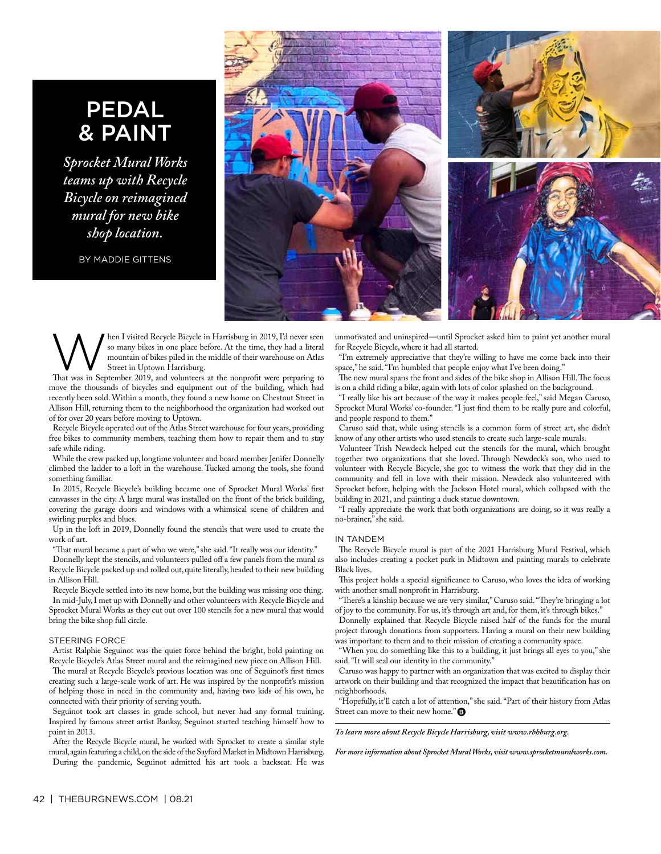### PEDAL & PAINT

*Sprocket Mural Works teams up with Recycle Bicycle on reimagined mural for new bike shop location.*

BY MADDIE GITTENS



hen I visited Recycle Bicycle in Harrisburg in 2019, I'd never seen so many bikes in one place before. At the time, they had a literal mountain of bikes piled in the middle of their warehouse on Atlas Street in Uptown Harrisburg.

That was in September 2019, and volunteers at the nonprofit were preparing to move the thousands of bicycles and equipment out of the building, which had recently been sold. Within a month, they found a new home on Chestnut Street in Allison Hill, returning them to the neighborhood the organization had worked out of for over 20 years before moving to Uptown.

Recycle Bicycle operated out of the Atlas Street warehouse for four years, providing free bikes to community members, teaching them how to repair them and to stay safe while riding.

While the crew packed up, longtime volunteer and board member Jenifer Donnelly climbed the ladder to a loft in the warehouse. Tucked among the tools, she found something familiar.

In 2015, Recycle Bicycle's building became one of Sprocket Mural Works' frst canvasses in the city. A large mural was installed on the front of the brick building, covering the garage doors and windows with a whimsical scene of children and swirling purples and blues.

Up in the loft in 2019, Donnelly found the stencils that were used to create the work of art.

"That mural became a part of who we were," she said. "It really was our identity."

Donnelly kept the stencils, and volunteers pulled off a few panels from the mural as Recycle Bicycle packed up and rolled out, quite literally, headed to their new building in Allison Hill.

Recycle Bicycle settled into its new home, but the building was missing one thing. In mid-July, I met up with Donnelly and other volunteers with Recycle Bicycle and Sprocket Mural Works as they cut out over 100 stencils for a new mural that would bring the bike shop full circle.

#### STEERING FORCE

Artist Ralphie Seguinot was the quiet force behind the bright, bold painting on Recycle Bicycle's Atlas Street mural and the reimagined new piece on Allison Hill.

The mural at Recycle Bicycle's previous location was one of Seguinot's first times creating such a large-scale work of art. He was inspired by the nonproft's mission of helping those in need in the community and, having two kids of his own, he connected with their priority of serving youth.

Seguinot took art classes in grade school, but never had any formal training. Inspired by famous street artist Banksy, Seguinot started teaching himself how to paint in 2013.

After the Recycle Bicycle mural, he worked with Sprocket to create a similar style mural, again featuring a child, on the side of the Sayford Market in Midtown Harrisburg. During the pandemic, Seguinot admitted his art took a backseat. He was

unmotivated and uninspired—until Sprocket asked him to paint yet another mural for Recycle Bicycle, where it had all started.

"I'm extremely appreciative that they're willing to have me come back into their space," he said. "I'm humbled that people enjoy what I've been doing."

The new mural spans the front and sides of the bike shop in Allison Hill. The focus is on a child riding a bike, again with lots of color splashed on the background.

"I really like his art because of the way it makes people feel," said Megan Caruso, Sprocket Mural Works' co-founder. "I just fnd them to be really pure and colorful, and people respond to them."

Caruso said that, while using stencils is a common form of street art, she didn't know of any other artists who used stencils to create such large-scale murals.

Volunteer Trish Newdeck helped cut the stencils for the mural, which brought together two organizations that she loved. Through Newdeck's son, who used to volunteer with Recycle Bicycle, she got to witness the work that they did in the community and fell in love with their mission. Newdeck also volunteered with Sprocket before, helping with the Jackson Hotel mural, which collapsed with the building in 2021, and painting a duck statue downtown.

"I really appreciate the work that both organizations are doing, so it was really a no-brainer," she said.

#### IN TANDEM

The Recycle Bicycle mural is part of the 2021 Harrisburg Mural Festival, which also includes creating a pocket park in Midtown and painting murals to celebrate Black lives.

This project holds a special significance to Caruso, who loves the idea of working with another small nonproft in Harrisburg.

"There's a kinship because we are very similar," Caruso said. "They're bringing a lot of joy to the community. For us, it's through art and, for them, it's through bikes."

Donnelly explained that Recycle Bicycle raised half of the funds for the mural project through donations from supporters. Having a mural on their new building was important to them and to their mission of creating a community space.

"When you do something like this to a building, it just brings all eyes to you," she said. "It will seal our identity in the community."

Caruso was happy to partner with an organization that was excited to display their artwork on their building and that recognized the impact that beautifcation has on neighborhoods.

"Hopefully, it'll catch a lot of attention," she said. "Part of their history from Atlas Street can move to their new home."<sup>9</sup>

*To learn more about Recycle Bicycle Harrisburg, visit www.rbhburg.org.* 

*For more information about Sprocket Mural Works, visit www.sprocketmuralworks.com.*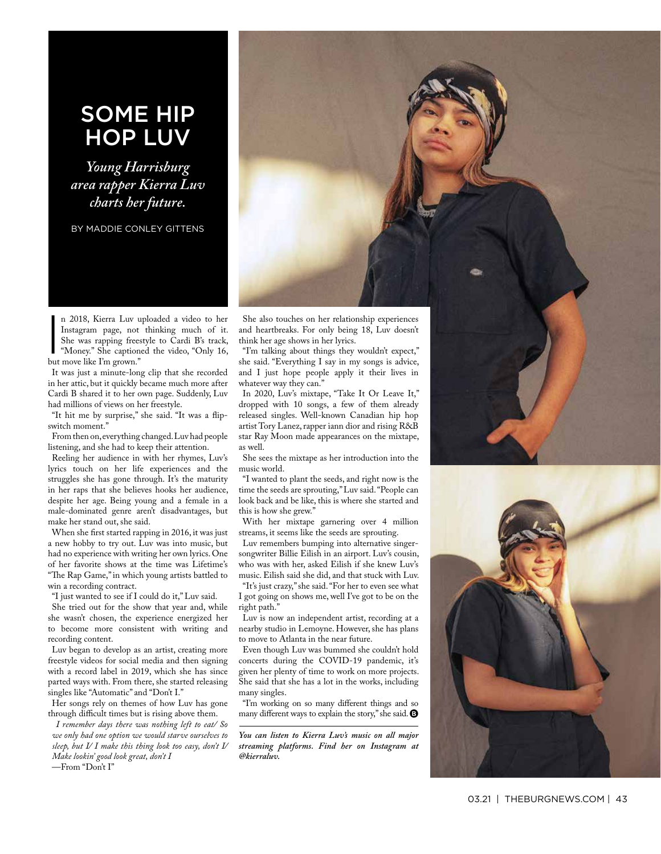### SOME HIP HOP LUV

*Young Harrisburg area rapper Kierra Luv charts her future.*

BY MADDIE CONLEY GITTENS



n 2018, Kierra Luv u<br>Instagram page, not<br>She was rapping frees<br>"Money." She caption<br>but move like I'm grown." n 2018, Kierra Luv uploaded a video to her Instagram page, not thinking much of it. She was rapping freestyle to Cardi B's track, "Money." She captioned the video, "Only 16,

It was just a minute-long clip that she recorded in her attic, but it quickly became much more after Cardi B shared it to her own page. Suddenly, Luv had millions of views on her freestyle.

"It hit me by surprise," she said. "It was a fipswitch moment."

From then on, everything changed. Luv had people listening, and she had to keep their attention.

Reeling her audience in with her rhymes, Luv's lyrics touch on her life experiences and the struggles she has gone through. It's the maturity in her raps that she believes hooks her audience, despite her age. Being young and a female in a male-dominated genre aren't disadvantages, but make her stand out, she said.

When she frst started rapping in 2016, it was just a new hobby to try out. Luv was into music, but had no experience with writing her own lyrics. One of her favorite shows at the time was Lifetime's "The Rap Game," in which young artists battled to win a recording contract.

"I just wanted to see if I could do it," Luv said.

She tried out for the show that year and, while she wasn't chosen, the experience energized her to become more consistent with writing and recording content.

Luv began to develop as an artist, creating more freestyle videos for social media and then signing with a record label in 2019, which she has since parted ways with. From there, she started releasing singles like "Automatic" and "Don't I."

Her songs rely on themes of how Luv has gone through difficult times but is rising above them.

*I remember days there was nothing left to eat/ So we only had one option we would starve ourselves to sleep, but I/ I make this thing look too easy, don't I/ Make lookin' good look great, don't I*

—From "Don't I"

think her age shows in her lyrics.

"I'm talking about things they wouldn't expect," she said. "Everything I say in my songs is advice, and I just hope people apply it their lives in whatever way they can."

In 2020, Luv's mixtape, "Take It Or Leave It," dropped with 10 songs, a few of them already released singles. Well-known Canadian hip hop artist Tory Lanez, rapper iann dior and rising R&B star Ray Moon made appearances on the mixtape, as well.

She sees the mixtape as her introduction into the music world.

"I wanted to plant the seeds, and right now is the time the seeds are sprouting," Luv said. "People can look back and be like, this is where she started and this is how she grew."

With her mixtape garnering over 4 million streams, it seems like the seeds are sprouting.

Luv remembers bumping into alternative singersongwriter Billie Eilish in an airport. Luv's cousin, who was with her, asked Eilish if she knew Luv's music. Eilish said she did, and that stuck with Luv.

"It's just crazy," she said. "For her to even see what I got going on shows me, well I've got to be on the right path."

Luv is now an independent artist, recording at a nearby studio in Lemoyne. However, she has plans to move to Atlanta in the near future.

Even though Luv was bummed she couldn't hold concerts during the COVID-19 pandemic, it's given her plenty of time to work on more projects. She said that she has a lot in the works, including many singles.

"I'm working on so many diferent things and so many different ways to explain the story," she said.  $\bigcirc$ 

*You can listen to Kierra Luv's music on all major streaming platforms. Find her on Instagram at @kierraluv.* 

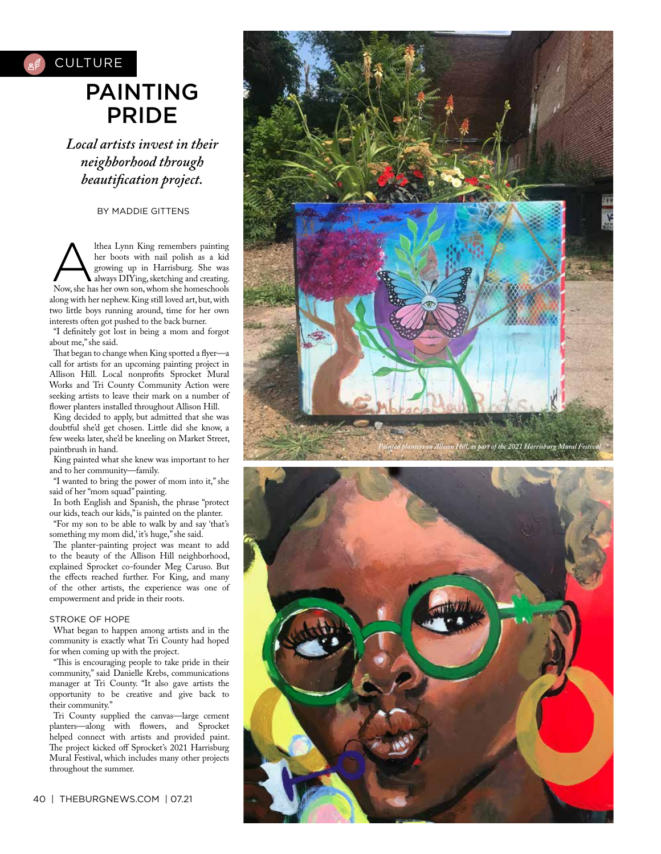

*Local artists invest in their neighborhood through beautifcation project.*

BY MADDIE GITTENS

Althea Lynn King remembers painting<br>her boots with nail polish as a kid<br>growing up in Harrisburg. She was<br>Now she has been down to the sheet of the sheet of the sheet of the sheet of the sheet of the sheet of the sheet<br>she her boots with nail polish as a kid growing up in Harrisburg. She was Now, she has her own son, whom she homeschools along with her nephew. King still loved art, but, with two little boys running around, time for her own interests often got pushed to the back burner.

"I defnitely got lost in being a mom and forgot about me," she said.

That began to change when King spotted a flyer-a call for artists for an upcoming painting project in Allison Hill. Local nonprofts Sprocket Mural Works and Tri County Community Action were seeking artists to leave their mark on a number of flower planters installed throughout Allison Hill.

King decided to apply, but admitted that she was doubtful she'd get chosen. Little did she know, a few weeks later, she'd be kneeling on Market Street, paintbrush in hand.

King painted what she knew was important to her and to her community—family.

"I wanted to bring the power of mom into it," she said of her "mom squad" painting.

In both English and Spanish, the phrase "protect our kids, teach our kids," is painted on the planter.

"For my son to be able to walk by and say 'that's something my mom did,' it's huge," she said.

The planter-painting project was meant to add to the beauty of the Allison Hill neighborhood, explained Sprocket co-founder Meg Caruso. But the effects reached further. For King, and many of the other artists, the experience was one of empowerment and pride in their roots.

#### STROKE OF HOPE

What began to happen among artists and in the community is exactly what Tri County had hoped for when coming up with the project.

"This is encouraging people to take pride in their community," said Danielle Krebs, communications manager at Tri County. "It also gave artists the opportunity to be creative and give back to their community."

Tri County supplied the canvas—large cement planters—along with fowers, and Sprocket helped connect with artists and provided paint. The project kicked off Sprocket's 2021 Harrisburg Mural Festival, which includes many other projects throughout the summer.

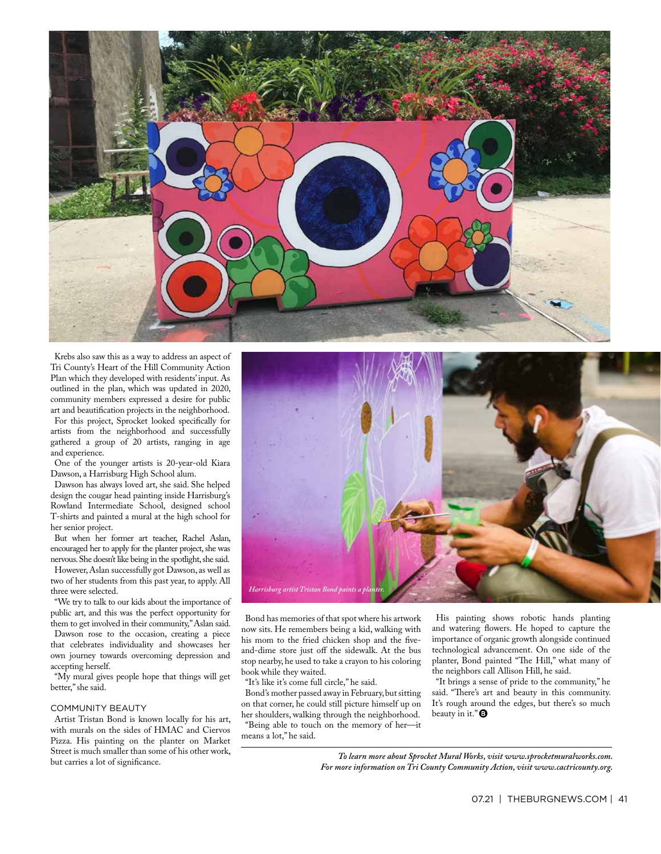

Krebs also saw this as a way to address an aspect of Tri County's Heart of the Hill Community Action Plan which they developed with residents' input. As outlined in the plan, which was updated in 2020, community members expressed a desire for public art and beautifcation projects in the neighborhood.

For this project, Sprocket looked specifcally for artists from the neighborhood and successfully gathered a group of 20 artists, ranging in age and experience.

One of the younger artists is 20-year-old Kiara Dawson, a Harrisburg High School alum.

Dawson has always loved art, she said. She helped design the cougar head painting inside Harrisburg's Rowland Intermediate School, designed school T-shirts and painted a mural at the high school for her senior project.

But when her former art teacher, Rachel Aslan, encouraged her to apply for the planter project, she was nervous. She doesn't like being in the spotlight, she said. However, Aslan successfully got Dawson, as well as two of her students from this past year, to apply. All three were selected.

"We try to talk to our kids about the importance of public art, and this was the perfect opportunity for them to get involved in their community," Aslan said. Dawson rose to the occasion, creating a piece

that celebrates individuality and showcases her own journey towards overcoming depression and accepting herself.

"My mural gives people hope that things will get better," she said.

#### COMMUNITY BEAUTY

Artist Tristan Bond is known locally for his art, with murals on the sides of HMAC and Ciervos Pizza. His painting on the planter on Market Street is much smaller than some of his other work, but carries a lot of signifcance.



Bond has memories of that spot where his artwork now sits. He remembers being a kid, walking with his mom to the fried chicken shop and the fveand-dime store just off the sidewalk. At the bus stop nearby, he used to take a crayon to his coloring book while they waited.

"It's like it's come full circle," he said.

Bond's mother passed away in February, but sitting on that corner, he could still picture himself up on her shoulders, walking through the neighborhood. "Being able to touch on the memory of her—it means a lot," he said.

His painting shows robotic hands planting and watering fowers. He hoped to capture the importance of organic growth alongside continued technological advancement. On one side of the planter, Bond painted "The Hill," what many of the neighbors call Allison Hill, he said.

"It brings a sense of pride to the community," he said. "There's art and beauty in this community. It's rough around the edges, but there's so much beauty in it." $\bullet$ 

*To learn more about Sprocket Mural Works, visit www.sprocketmuralworks.com. For more information on Tri County Community Action, visit www.cactricounty.org.*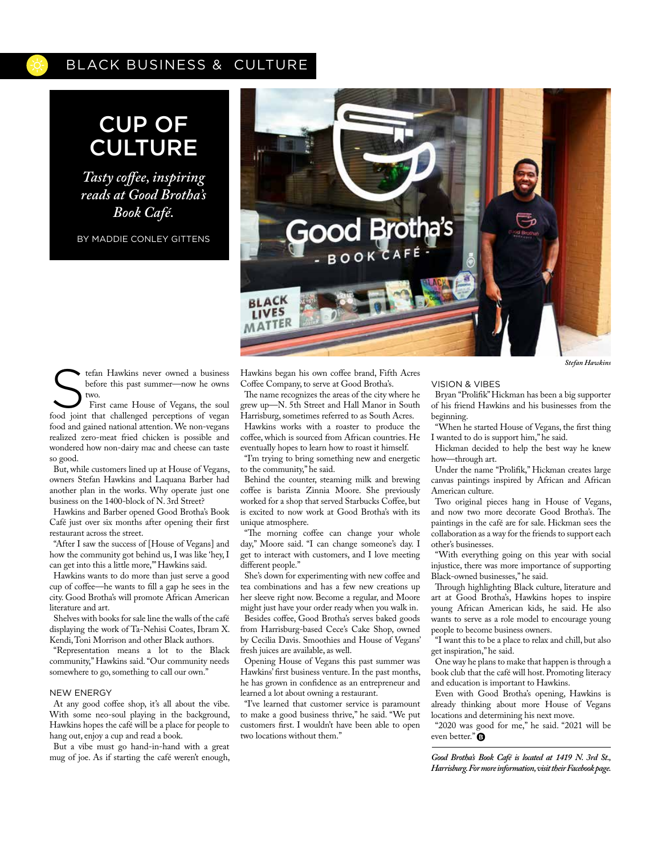### BLACK BUSINESS & CULTURE

# CUP OF CULTURE

*Tasty cofee, inspiring reads at Good Brotha's Book Café.*

BY MADDIE CONLEY GITTENS



The Hawkins never owned a business<br>
Stefan Hawkins never owned a business<br>
First came House of Vegans, the soul<br>
food joint that challenged perceptions of years before this past summer—now he owns two.

food joint that challenged perceptions of vegan food and gained national attention. We non-vegans realized zero-meat fried chicken is possible and wondered how non-dairy mac and cheese can taste so good.

But, while customers lined up at House of Vegans, owners Stefan Hawkins and Laquana Barber had another plan in the works. Why operate just one business on the 1400-block of N. 3rd Street?

Hawkins and Barber opened Good Brotha's Book Café just over six months after opening their frst restaurant across the street.

"After I saw the success of [House of Vegans] and how the community got behind us, I was like 'hey, I can get into this a little more,'" Hawkins said.

Hawkins wants to do more than just serve a good cup of cofee—he wants to fll a gap he sees in the city. Good Brotha's will promote African American literature and art.

Shelves with books for sale line the walls of the café displaying the work of Ta-Nehisi Coates, Ibram X. Kendi, Toni Morrison and other Black authors.

"Representation means a lot to the Black community," Hawkins said. "Our community needs somewhere to go, something to call our own."

#### NEW ENERGY

At any good coffee shop, it's all about the vibe. With some neo-soul playing in the background, Hawkins hopes the café will be a place for people to hang out, enjoy a cup and read a book.

But a vibe must go hand-in-hand with a great mug of joe. As if starting the café weren't enough, Hawkins began his own cofee brand, Fifth Acres Coffee Company, to serve at Good Brotha's.

The name recognizes the areas of the city where he grew up—N. 5th Street and Hall Manor in South Harrisburg, sometimes referred to as South Acres.

Hawkins works with a roaster to produce the coffee, which is sourced from African countries. He eventually hopes to learn how to roast it himself.

"I'm trying to bring something new and energetic to the community," he said.

Behind the counter, steaming milk and brewing coffee is barista Zinnia Moore. She previously worked for a shop that served Starbucks Coffee, but is excited to now work at Good Brotha's with its unique atmosphere.

"The morning coffee can change your whole day," Moore said. "I can change someone's day. I get to interact with customers, and I love meeting diferent people."

She's down for experimenting with new coffee and tea combinations and has a few new creations up her sleeve right now. Become a regular, and Moore might just have your order ready when you walk in.

Besides coffee, Good Brotha's serves baked goods from Harrisburg-based Cece's Cake Shop, owned by Cecilia Davis. Smoothies and House of Vegans' fresh juices are available, as well.

Opening House of Vegans this past summer was Hawkins' frst business venture. In the past months, he has grown in confdence as an entrepreneur and learned a lot about owning a restaurant.

"I've learned that customer service is paramount to make a good business thrive," he said. "We put customers frst. I wouldn't have been able to open two locations without them."

#### VISION & VIBES

Bryan "Prolifk" Hickman has been a big supporter of his friend Hawkins and his businesses from the beginning.

"When he started House of Vegans, the frst thing I wanted to do is support him," he said.

Hickman decided to help the best way he knew how—through art.

Under the name "Prolifk," Hickman creates large canvas paintings inspired by African and African American culture.

Two original pieces hang in House of Vegans, and now two more decorate Good Brotha's. The paintings in the café are for sale. Hickman sees the collaboration as a way for the friends to support each other's businesses.

"With everything going on this year with social injustice, there was more importance of supporting Black-owned businesses," he said.

Through highlighting Black culture, literature and art at Good Brotha's, Hawkins hopes to inspire young African American kids, he said. He also wants to serve as a role model to encourage young people to become business owners.

"I want this to be a place to relax and chill, but also get inspiration," he said.

One way he plans to make that happen is through a book club that the café will host. Promoting literacy and education is important to Hawkins.

Even with Good Brotha's opening, Hawkins is already thinking about more House of Vegans locations and determining his next move.

"2020 was good for me," he said. "2021 will be even better."<sup>O</sup>

*Good Brotha's Book Café is located at 1419 N. 3rd St., Harrisburg. For more information, visit their Facebook page.*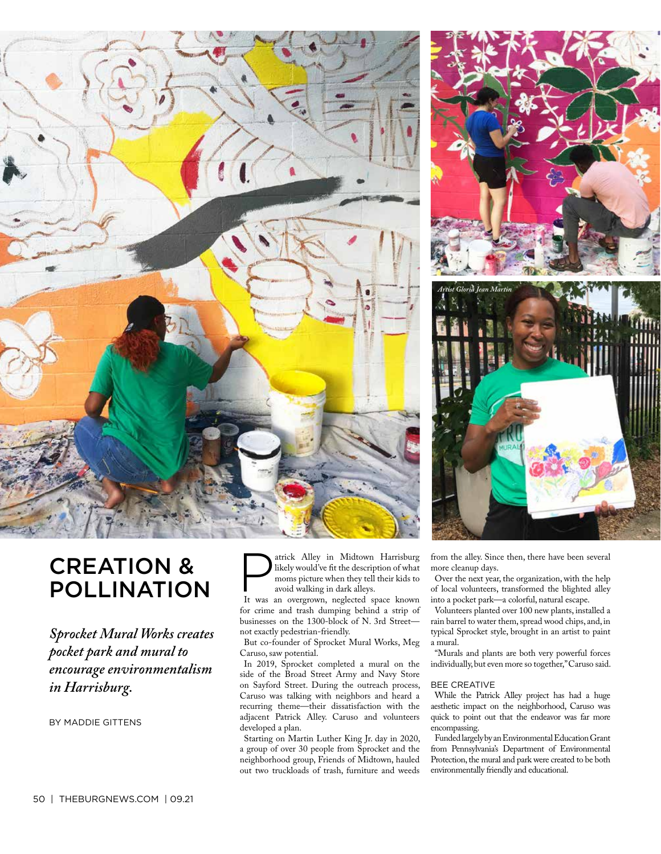



# CREATION & POLLINATION

*Sprocket Mural Works creates pocket park and mural to encourage environmentalism in Harrisburg.*

BY MADDIE GITTENS

atrick Alley in Midtown Harrisburg likely would've ft the description of what moms picture when they tell their kids to avoid walking in dark alleys.

It was an overgrown, neglected space known for crime and trash dumping behind a strip of businesses on the 1300-block of N. 3rd Street not exactly pedestrian-friendly.

But co-founder of Sprocket Mural Works, Meg Caruso, saw potential.

In 2019, Sprocket completed a mural on the side of the Broad Street Army and Navy Store on Sayford Street. During the outreach process, Caruso was talking with neighbors and heard a recurring theme—their dissatisfaction with the adjacent Patrick Alley. Caruso and volunteers developed a plan.

Starting on Martin Luther King Jr. day in 2020, a group of over 30 people from Sprocket and the neighborhood group, Friends of Midtown, hauled out two truckloads of trash, furniture and weeds from the alley. Since then, there have been several more cleanup days.

Over the next year, the organization, with the help of local volunteers, transformed the blighted alley into a pocket park—a colorful, natural escape.

Volunteers planted over 100 new plants, installed a rain barrel to water them, spread wood chips, and, in typical Sprocket style, brought in an artist to paint a mural.

"Murals and plants are both very powerful forces individually, but even more so together," Caruso said.

#### BEE CREATIVE

While the Patrick Alley project has had a huge aesthetic impact on the neighborhood, Caruso was quick to point out that the endeavor was far more encompassing.

Funded largely by an Environmental Education Grant from Pennsylvania's Department of Environmental Protection, the mural and park were created to be both environmentally friendly and educational.